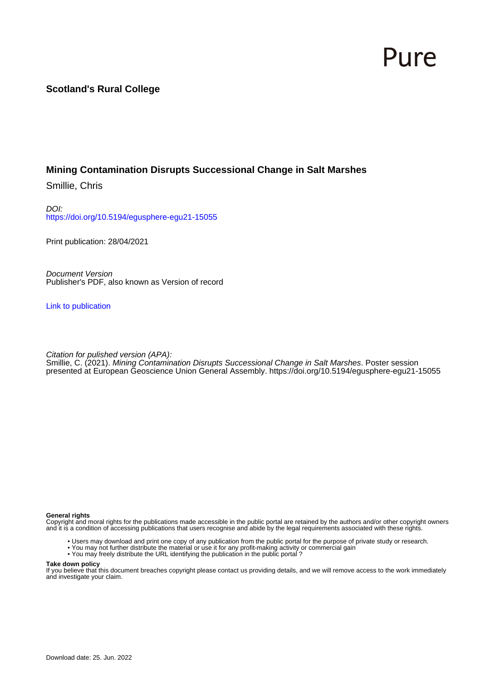## Pure

## **Scotland's Rural College**

## **Mining Contamination Disrupts Successional Change in Salt Marshes**

Smillie, Chris

DOI: <https://doi.org/10.5194/egusphere-egu21-15055>

Print publication: 28/04/2021

Document Version Publisher's PDF, also known as Version of record

[Link to publication](https://pure.sruc.ac.uk/en/publications/9031d39f-fc18-41e4-a9b2-51ddccfab68e)

Citation for pulished version (APA):

Smillie, C. (2021). Mining Contamination Disrupts Successional Change in Salt Marshes. Poster session presented at European Geoscience Union General Assembly.<https://doi.org/10.5194/egusphere-egu21-15055>

## **General rights**

Copyright and moral rights for the publications made accessible in the public portal are retained by the authors and/or other copyright owners and it is a condition of accessing publications that users recognise and abide by the legal requirements associated with these rights.

- Users may download and print one copy of any publication from the public portal for the purpose of private study or research.
- You may not further distribute the material or use it for any profit-making activity or commercial gain
- You may freely distribute the URL identifying the publication in the public portal ?

### **Take down policy**

If you believe that this document breaches copyright please contact us providing details, and we will remove access to the work immediately and investigate your claim.